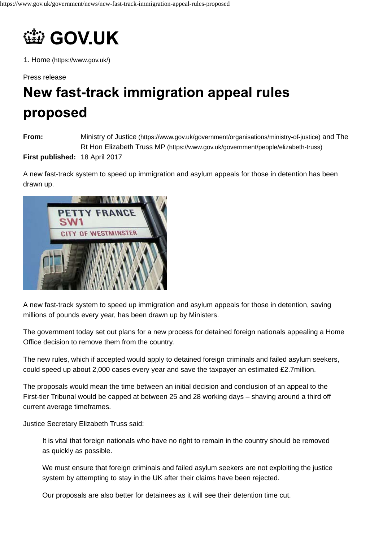

1. Home (https://www.gov.uk/)

Press release

## New fast-track immigration appeal rules proposed

**From: First published:** 18 April 2017 Ministry of Justice (https://www.gov.uk/government/organisations/ministry-of-justice) and The Rt Hon Elizabeth Truss MP (https://www.gov.uk/government/people/elizabeth-truss)

A new fast-track system to speed up immigration and asylum appeals for those in detention has been drawn up.



A new fast-track system to speed up immigration and asylum appeals for those in detention, saving millions of pounds every year, has been drawn up by Ministers.

The government today set out plans for a new process for detained foreign nationals appealing a Home Office decision to remove them from the country.

The new rules, which if accepted would apply to detained foreign criminals and failed asylum seekers, could speed up about 2,000 cases every year and save the taxpayer an estimated £2.7million.

The proposals would mean the time between an initial decision and conclusion of an appeal to the First-tier Tribunal would be capped at between 25 and 28 working days – shaving around a third off current average timeframes.

Justice Secretary Elizabeth Truss said:

It is vital that foreign nationals who have no right to remain in the country should be removed as quickly as possible.

We must ensure that foreign criminals and failed asylum seekers are not exploiting the justice system by attempting to stay in the UK after their claims have been rejected.

Our proposals are also better for detainees as it will see their detention time cut.